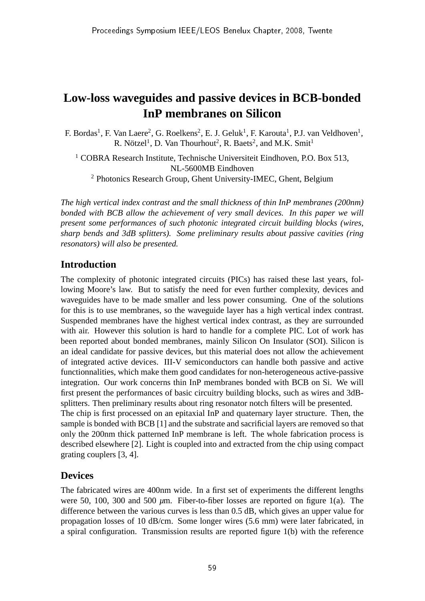# **Low-loss waveguides and passive devices in BCB-bonded InP membranes on Silicon**

F. Bordas<sup>1</sup>, F. Van Laere<sup>2</sup>, G. Roelkens<sup>2</sup>, E. J. Geluk<sup>1</sup>, F. Karouta<sup>1</sup>, P.J. van Veldhoven<sup>1</sup>, R. Nötzel<sup>1</sup>, D. Van Thourhout<sup>2</sup>, R. Baets<sup>2</sup>, and M.K. Smit<sup>1</sup>

<sup>1</sup> COBRA Research Institute, Technische Universiteit Eindhoven, P.O. Box 513, NL-5600MB Eindhoven <sup>2</sup> Photonics Research Group, Ghent University-IMEC, Ghent, Belgium

*The high vertical index contrast and the small thickness of thin InP membranes (200nm) bonded with BCB allow the achievement of very small devices. In this paper we will present some performances of such photonic integrated circuit building blocks (wires, sharp bends and 3dB splitters). Some preliminary results about passive cavities (ring resonators) will also be presented.*

## **Introduction**

The complexity of photonic integrated circuits (PICs) has raised these last years, following Moore's law. But to satisfy the need for even further complexity, devices and waveguides have to be made smaller and less power consuming. One of the solutions for this is to use membranes, so the waveguide layer has a high vertical index contrast. Suspended membranes have the highest vertical index contrast, as they are surrounded with air. However this solution is hard to handle for a complete PIC. Lot of work has been reported about bonded membranes, mainly Silicon On Insulator (SOI). Silicon is an ideal candidate for passive devices, but this material does not allow the achievement of integrated active devices. III-V semiconductors can handle both passive and active functionnalities, which make them good candidates for non-heterogeneous active-passive integration. Our work concerns thin InP membranes bonded with BCB on Si. We will first present the performances of basic circuitry building blocks, such as wires and 3dBsplitters. Then preliminary results about ring resonator notch filters will be presented. The chip is first processed on an epitaxial InP and quaternary layer structure. Then, the sample is bonded with BCB [1] and the substrate and sacrificial layers are removed so that only the 200nm thick patterned InP membrane is left. The whole fabrication process is described elsewhere [2]. Light is coupled into and extracted from the chip using compact grating couplers [3, 4].

# **Devices**

The fabricated wires are 400nm wide. In a first set of experiments the different lengths were 50, 100, 300 and 500 *µ*m. Fiber-to-fiber losses are reported on figure 1(a). The difference between the various curves is less than 0.5 dB, which gives an upper value for propagation losses of 10 dB/cm. Some longer wires (5.6 mm) were later fabricated, in a spiral configuration. Transmission results are reported figure 1(b) with the reference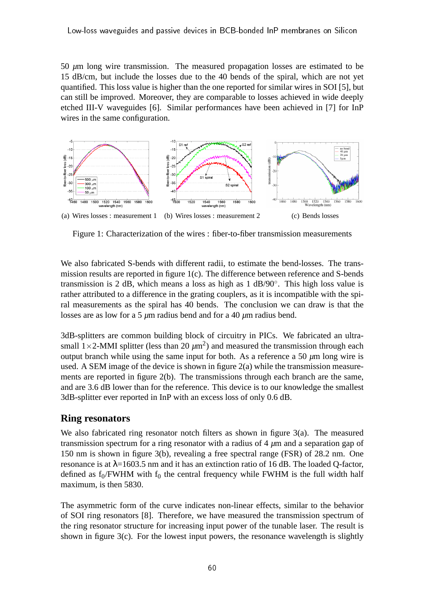50 *µ*m long wire transmission. The measured propagation losses are estimated to be 15 dB/cm, but include the losses due to the 40 bends of the spiral, which are not yet quantified. This loss value is higher than the one reported for similar wires in SOI [5], but can still be improved. Moreover, they are comparable to losses achieved in wide deeply etched III-V waveguides [6]. Similar performances have been achieved in [7] for InP wires in the same configuration.



Figure 1: Characterization of the wires : fiber-to-fiber transmission measurements

We also fabricated S-bends with different radii, to estimate the bend-losses. The transmission results are reported in figure 1(c). The difference between reference and S-bends transmission is 2 dB, which means a loss as high as 1 dB/90◦ . This high loss value is rather attributed to a difference in the grating couplers, as it is incompatible with the spiral measurements as the spiral has 40 bends. The conclusion we can draw is that the losses are as low for a 5 *µ*m radius bend and for a 40 *µ*m radius bend.

3dB-splitters are common building block of circuitry in PICs. We fabricated an ultrasmall  $1 \times 2$ -MMI splitter (less than  $20 \ \mu m^2$ ) and measured the transmission through each output branch while using the same input for both. As a reference a 50  $\mu$ m long wire is used. A SEM image of the device is shown in figure 2(a) while the transmission measurements are reported in figure 2(b). The transmissions through each branch are the same, and are 3.6 dB lower than for the reference. This device is to our knowledge the smallest 3dB-splitter ever reported in InP with an excess loss of only 0.6 dB.

#### **Ring resonators**

We also fabricated ring resonator notch filters as shown in figure 3(a). The measured transmission spectrum for a ring resonator with a radius of 4 *µ*m and a separation gap of 150 nm is shown in figure 3(b), revealing a free spectral range (FSR) of 28.2 nm. One resonance is at  $\lambda$ =1603.5 nm and it has an extinction ratio of 16 dB. The loaded Q-factor, defined as  $f_0$ /FWHM with  $f_0$  the central frequency while FWHM is the full width half maximum, is then 5830.

The asymmetric form of the curve indicates non-linear effects, similar to the behavior of SOI ring resonators [8]. Therefore, we have measured the transmission spectrum of the ring resonator structure for increasing input power of the tunable laser. The result is shown in figure 3(c). For the lowest input powers, the resonance wavelength is slightly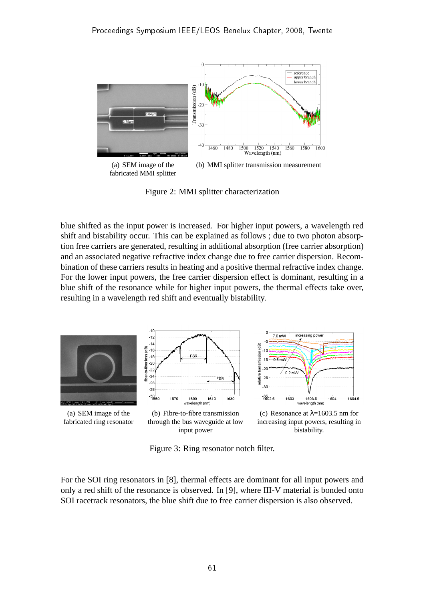

Figure 2: MMI splitter characterization

blue shifted as the input power is increased. For higher input powers, a wavelength red shift and bistability occur. This can be explained as follows ; due to two photon absorption free carriers are generated, resulting in additional absorption (free carrier absorption) and an associated negative refractive index change due to free carrier dispersion. Recombination of these carriers results in heating and a positive thermal refractive index change. For the lower input powers, the free carrier dispersion effect is dominant, resulting in a blue shift of the resonance while for higher input powers, the thermal effects take over, resulting in a wavelength red shift and eventually bistability.



Figure 3: Ring resonator notch filter.

For the SOI ring resonators in [8], thermal effects are dominant for all input powers and only a red shift of the resonance is observed. In [9], where III-V material is bonded onto SOI racetrack resonators, the blue shift due to free carrier dispersion is also observed.